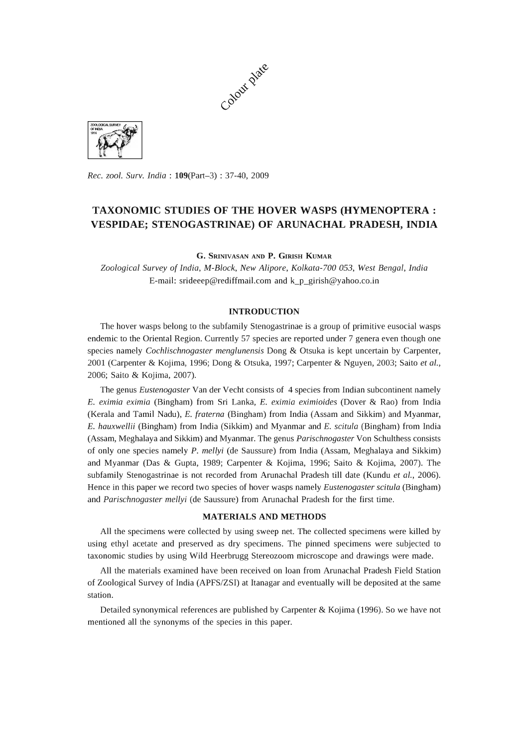



*Rec. zool. Surv. India:* l09(Part-3) : 37-40, 2009

# **TAXONOMIC STUDIES OF THE HOVER WASPS (HYMENOPTERA: VESPIDAE; STENOGASTRINAE) OF ARUNACHAL PRADESH, INDIA**

G. SRINIVASAN AND P. GIRISH KUMAR

*Zoological Survey* of *India, M-Block, New Alipore, Kolkata-700 053, West Bengal, India*  E-mail: srideeep@rediffmail.com and k\_p\_girish@yahoo.co.in

## **INTRODUCTION**

The hover wasps belong to the subfamily Stenogastrinae is a group of primitive eusocial wasps endemic to the Oriental Region. Currently 57 species are reported under 7 genera even though one species namely *Cochlischnogaster menglunensis* Dong & Otsuka is kept uncertain by Carpenter, 2001 (Carpenter & Kojima, 1996; Dong & Otsuka, 1997; Carpenter & Nguyen, 2003; Saito *et al.,*  2006; Saito & Kojima, 2007).

The genus *Eustenogaster* Van der Vecht consists of 4 species from Indian subcontinent namely E. *eximia eximia* (Bingham) from Sri Lanka, E. *eximia eximioides* (Dover & Rao) from India (Kerala and Tamil Nadu), E. *fraterna* (Bingham) from India (Assam and Sikkim) and Myanmar, E. *hauxwellii* (Bingham) from India (Sikkim) and Myanmar and E. *scitula* (Bingham) from India (Assam, Meghalaya and Sikkim) and Myanmar. The genus *Parischnogaster* Von Schulthess consists of only one species namely P. *mellyi* (de Saussure) from India (Assam, Meghalaya and Sikkim) and Myanmar (Das & Gupta, 1989; Carpenter & Kojima, 1996; Saito & Kojima, 2007). The subfamily Stenogastrinae is not recorded from Arunachal Pradesh till date (Kundu *et al., 2006).*  Hence in this paper we record two species of hover wasps namely *Eustenogaster scitula* (Bingham) and *Parischnogaster mellyi* (de Saussure) from Arunachal Pradesh for the first time.

# **MATERIALS AND METHODS**

All the specimens were collected by using sweep net. The collected specimens were killed by using ethyl acetate and preserved as dry specimens. The pinned specimens were subjected to taxonomic studies by using Wild Heerbrugg Stereozoom microscope and drawings were made.

All the materials examined have been received on loan from Arunachal Pradesh Field Station of Zoological Survey of India (APFS/ZSI) at Itanagar and eventually will be deposited at the same station.

Detailed synonymical references are published by Carpenter & Kojima (1996). So we have not mentioned all the synonyms of the species in this paper.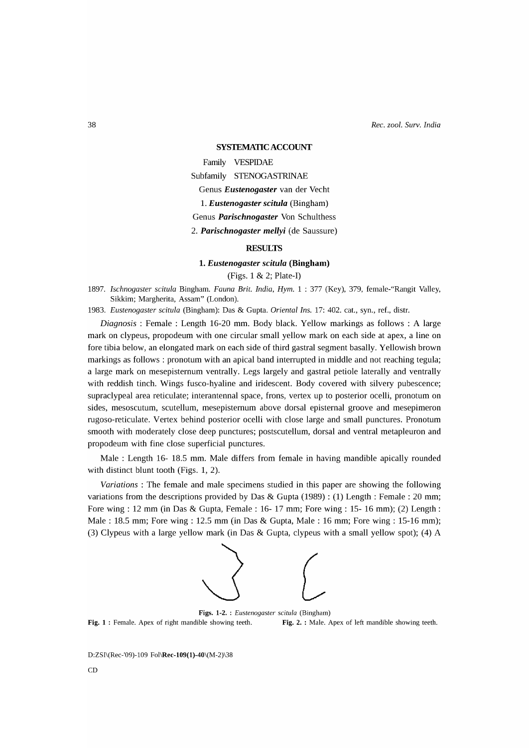*Rec. zool. Surv. India* 

#### **SYSTEMATIC ACCOUNT**

Family VESPIDAE

Subfamily STENOGASTRINAE

Genus *Eustenogaster* van der Vecht

1. *Eustenogaster scitula* (Bingham)

Genus *Parischnogaster* Von Schulthess

*2. Parischnogaster mellyi* (de Saussure)

# **RESULTS**

## **1.** *Eustenogaster scitula* **(Bingham)**

(Figs. 1 & 2; Plate-I)

*1897. Ischnogaster scitula* Bingham. *Fauna Brit. India, Hym.* 1 : 377 (Key), 379, female-"Rangit Valley, Sikkim; Margherita, Assam" (London).

*1983. Eustenogaster scitula* (Bingham): Das & Gupta. *Oriental Ins.* 17: 402. cat., syn., ref., distr.

*Diagnosis:* Female: Length 16-20 mm. Body black. Yellow markings as follows: A large mark on clypeus, propodeum with one circular small yellow mark on each side at apex, a line on fore tibia below, an elongated mark on each side of third gastral segment basally. Yellowish brown markings as follows : pronotum with an apical band interrupted in middle and not reaching tegula; a large mark on mesepisternum ventrally. Legs largely and gastral petiole laterally and ventrally with reddish tinch. Wings fusco-hyaline and iridescent. Body covered with silvery pubescence; supraclypeal area reticulate; interantennal space, frons, vertex up to posterior ocelli, pronotum on sides, mesoscutum, scutellum, mesepisternum above dorsal episternal groove and mesepimeron rugoso-reticulate. Vertex behind posterior ocelli with close large and small punctures. Pronotum smooth with moderately close deep punctures; postscutellum, dorsal and ventral metapleuron and propodeum with fine close superficial punctures.

Male: Length 16- 18.5 mm. Male differs from female in having mandible apically rounded with distinct blunt tooth (Figs. 1, 2).

*Variations:* The female and male specimens studied in this paper are showing the following variations from the descriptions provided by Das & Gupta (1989) : (1) Length: Female: 20 mm; Fore wing: 12 mm (in Das & Gupta, Female: 16- 17 mm; Fore wing: 15- 16 mm); (2) Length: Male: 18.5 mm; Fore wing: 12.5 mm (in Das & Gupta, Male: 16 mm; Fore wing: 15-16 mm); (3) Clypeus with a large yellow mark (in Das & Gupta, clypeus with a small yellow spot); (4) A



Figs. 1-2. : *Eustenogaster scitula* (Bingham) Fig. 1 : Female. Apex of right mandible showing teeth. Fig. 2. : Male. Apex of left mandible showing teeth.

D:ZSI\(Rec-'09)-109 Fol\Rec-l09(1)-40\(M-2)\38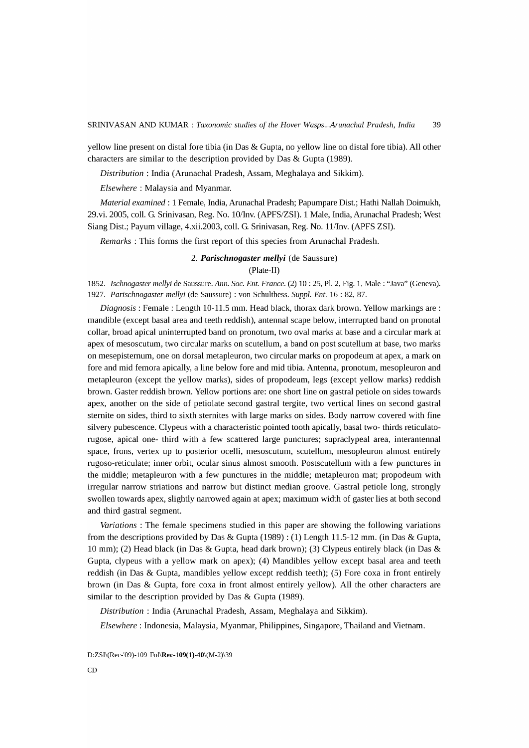yellow line present on distal fore tibia (in Das & Gupta, no yellow line on distal fore tibia). All other characters are similar to the description provided by Das & Gupta (1989).

*Distribution:* India (Arunachal Pradesh, Assam, Meghalaya and Sikkim).

*Elsewhere:* Malaysia and Myanmar.

*Material examined:* 1 Female, India, Arunachal Pradesh; Papumpare Dist.; Hathi Nallah Doimukh, 29.vi. 200S, colI. G. Srinivasan, Reg. No. 10/Inv. (APFS/ZSI). 1 Male, India, Arunachal Pradesh; West Siang Dist.; Payum village, 4.xii.2003, colI. G. Srinivasan, Reg. No. 11/Inv. (APFS ZSI).

*Remarks* : This forms the first report of this species from Arunachal Pradesh.

# *2. Parischnogaster mellyi* (de Saussure) (Plate-II)

*1852. Ischnogaster mellyi* de Saussure. *Ann. Soc. Ent. France.* (2) 10 : 25, PI. 2, Fig. 1, Male: "Java" (Geneva). *1927. Parischnogaster mellyi* (de Saussure) : von Schulthess. *Suppl. Ent.* 16 : 82, 87.

*Diagnosis:* Female: Length 10-11.S mm. Head black, thorax dark brown. Yellow markings are: mandible (except basal area and teeth reddish), antennal scape below, interrupted band on pronotal collar, broad apical uninterrupted band on pronotum, two oval marks at base and a circular mark at apex of mesoscutum, two circular marks on scutellum, a band on post scutellum at base, two marks on mesepisternum, one on dorsal metapleuron, two circular marks on propodeum at apex, a mark on fore and mid femora apically, a line below fore and mid tibia. Antenna, pronotum, mesopleuron and metapleuron (except the yellow marks), sides of propodeum, legs (except yellow marks) reddish brown. Gaster reddish brown. Yellow portions are: one short line on gastral petiole on sides towards apex, another on the side of petiolate second gastral tergite, two vertical lines on second gastral sternite on sides, third to sixth sternites with large marks on sides. Body narrow covered with fine silvery pubescence. Clypeus with a characteristic pointed tooth apically, basal two- thirds reticulatorugose, apical one- third with a few scattered large punctures; supraclypeal area, interantennal space, frons, vertex up to posterior ocelli, mesoscutum, scutellum, mesopleuron almost entirely rugoso-reticulate; inner orbit, ocular sinus almost smooth. Postscutellum with a few punctures in the middle; metapleuron with a few punctures in the middle; metapleuron mat; propodeum with irregular narrow striations and narrow but distinct median groove. Gastral petiole long, strongly swollen towards apex, slightly narrowed again at apex; maximum width of gaster lies at both second and third gastral segment.

*Variations* : The female specimens studied in this paper are showing the following variations from the descriptions provided by Das & Gupta (1989) : (1) Length 11.S-12 mm. (in Das & Gupta, 10 mm); (2) Head black (in Das & Gupta, head dark brown); (3) Clypeus entirely black (in Das & Gupta, clypeus with a yellow mark on apex); (4) Mandibles yellow except basal area and teeth reddish (in Das & Gupta, mandibles yellow except reddish teeth); (S) Fore coxa in front entirely brown (in Das & Gupta, fore coxa in front almost entirely yellow). All the other characters are similar to the description provided by Das & Gupta (1989).

*Distribution* : India (Arunachal Pradesh, Assam, Meghalaya and Sikkim).

*Elsewhere:* Indonesia, Malaysia, Myanmar, Philippines, Singapore, Thailand and Vietnam.

D:ZSI\(Rec-'09)-109 Fol\Rec-109(1)-40\(M-2)\39